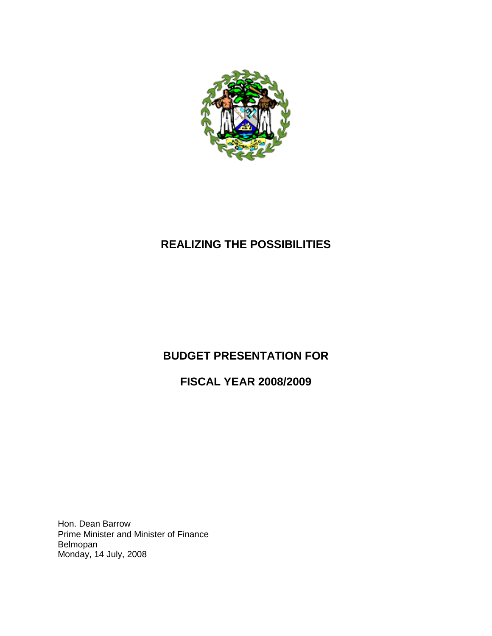

# **REALIZING THE POSSIBILITIES**

# **BUDGET PRESENTATION FOR**

**FISCAL YEAR 2008/2009**

Hon. Dean Barrow Prime Minister and Minister of Finance Belmopan Monday, 14 July, 2008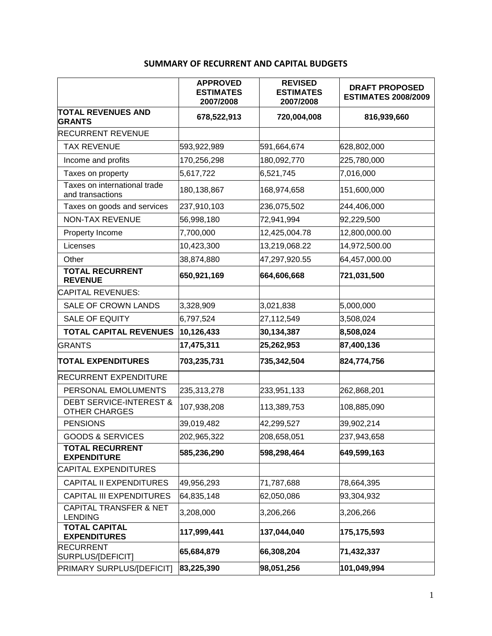## **SUMMARY OF RECURRENT AND CAPITAL BUDGETS**

|                                                            | <b>APPROVED</b><br><b>ESTIMATES</b><br>2007/2008 | <b>REVISED</b><br><b>ESTIMATES</b><br>2007/2008 | <b>DRAFT PROPOSED</b><br><b>ESTIMATES 2008/2009</b> |
|------------------------------------------------------------|--------------------------------------------------|-------------------------------------------------|-----------------------------------------------------|
| <b>TOTAL REVENUES AND</b><br><b>GRANTS</b>                 | 678,522,913                                      | 720,004,008                                     | 816,939,660                                         |
| <b>RECURRENT REVENUE</b>                                   |                                                  |                                                 |                                                     |
| <b>TAX REVENUE</b>                                         | 593,922,989                                      | 591,664,674                                     | 628,802,000                                         |
| Income and profits                                         | 170,256,298                                      | 180,092,770                                     | 225,780,000                                         |
| Taxes on property                                          | 5,617,722                                        | 6,521,745                                       | 7,016,000                                           |
| Taxes on international trade<br>and transactions           | 180,138,867                                      | 168,974,658                                     | 151,600,000                                         |
| Taxes on goods and services                                | 237,910,103                                      | 236,075,502                                     | 244,406,000                                         |
| NON-TAX REVENUE                                            | 56,998,180                                       | 72,941,994                                      | 92,229,500                                          |
| Property Income                                            | 7,700,000                                        | 12,425,004.78                                   | 12,800,000.00                                       |
| Licenses                                                   | 10,423,300                                       | 13,219,068.22                                   | 14,972,500.00                                       |
| Other                                                      | 38,874,880                                       | 47,297,920.55                                   | 64,457,000.00                                       |
| <b>TOTAL RECURRENT</b><br><b>REVENUE</b>                   | 650,921,169                                      | 664,606,668                                     | 721,031,500                                         |
| <b>CAPITAL REVENUES:</b>                                   |                                                  |                                                 |                                                     |
| SALE OF CROWN LANDS                                        | 3,328,909                                        | 3,021,838                                       | 5,000,000                                           |
| <b>SALE OF EQUITY</b>                                      | 6,797,524                                        | 27,112,549                                      | 3,508,024                                           |
| <b>TOTAL CAPITAL REVENUES</b>                              | 10,126,433                                       | 30,134,387                                      | 8,508,024                                           |
| <b>GRANTS</b>                                              | 17,475,311                                       | 25,262,953                                      | 87,400,136                                          |
| <b>TOTAL EXPENDITURES</b>                                  | 703,235,731                                      | 735,342,504                                     | 824,774,756                                         |
| <b>RECURRENT EXPENDITURE</b>                               |                                                  |                                                 |                                                     |
| PERSONAL EMOLUMENTS                                        | 235,313,278                                      | 233,951,133                                     | 262,868,201                                         |
| <b>DEBT SERVICE-INTEREST &amp;</b><br><b>OTHER CHARGES</b> | 107,938,208                                      | 113,389,753                                     | 108,885,090                                         |
| <b>PENSIONS</b>                                            | 39,019,482                                       | 42,299,527                                      | 39,902,214                                          |
| <b>GOODS &amp; SERVICES</b>                                | 202,965,322                                      | 208,658,051                                     | 237,943,658                                         |
| <b>TOTAL RECURRENT</b><br><b>EXPENDITURE</b>               | 585,236,290                                      | 598,298,464                                     | 649,599,163                                         |
| <b>CAPITAL EXPENDITURES</b>                                |                                                  |                                                 |                                                     |
| <b>CAPITAL II EXPENDITURES</b>                             | 49,956,293                                       | 71,787,688                                      | 78,664,395                                          |
| <b>CAPITAL III EXPENDITURES</b>                            | 64,835,148                                       | 62,050,086                                      | 93,304,932                                          |
| <b>CAPITAL TRANSFER &amp; NET</b><br><b>LENDING</b>        | 3,208,000                                        | 3,206,266                                       | 3,206,266                                           |
| <b>TOTAL CAPITAL</b><br><b>EXPENDITURES</b>                | 117,999,441                                      | 137,044,040                                     | 175,175,593                                         |
| <b>RECURRENT</b><br>SURPLUS/[DEFICIT]                      | 65,684,879                                       | 66,308,204                                      | 71,432,337                                          |
| PRIMARY SURPLUS/[DEFICIT]                                  | 83,225,390                                       | 98,051,256                                      | 101,049,994                                         |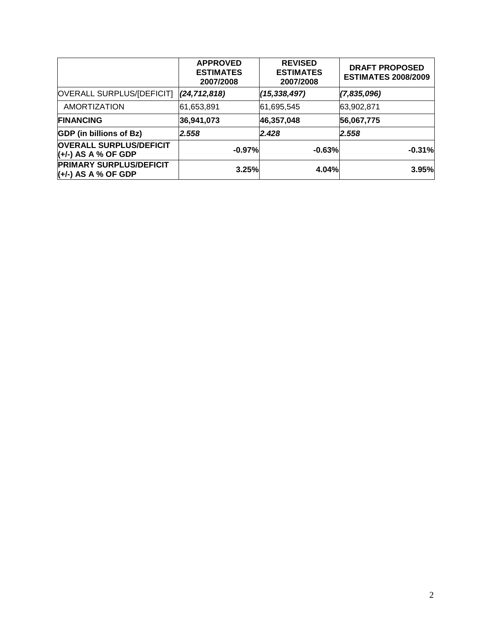|                                                       | <b>APPROVED</b><br><b>ESTIMATES</b><br>2007/2008 | <b>REVISED</b><br><b>ESTIMATES</b><br>2007/2008 | <b>DRAFT PROPOSED</b><br><b>ESTIMATES 2008/2009</b> |
|-------------------------------------------------------|--------------------------------------------------|-------------------------------------------------|-----------------------------------------------------|
| OVERALL SURPLUS/[DEFICIT]                             | (24, 712, 818)                                   | (15, 338, 497)                                  | (7,835,096)                                         |
| <b>AMORTIZATION</b>                                   | 61,653,891                                       | 61,695,545                                      | 63,902,871                                          |
| <b>FINANCING</b>                                      | 36,941,073                                       | 46,357,048                                      | 56,067,775                                          |
| <b>GDP</b> (in billions of Bz)                        | 2.558                                            | 2.428                                           | 2.558                                               |
| <b>OVERALL SURPLUS/DEFICIT</b><br>(+/-) AS A % OF GDP | $-0.97%$                                         | $-0.63%$                                        | $-0.31%$                                            |
| <b>PRIMARY SURPLUS/DEFICIT</b><br>$(+)$ AS A % OF GDP | 3.25%                                            | 4.04%                                           | 3.95%                                               |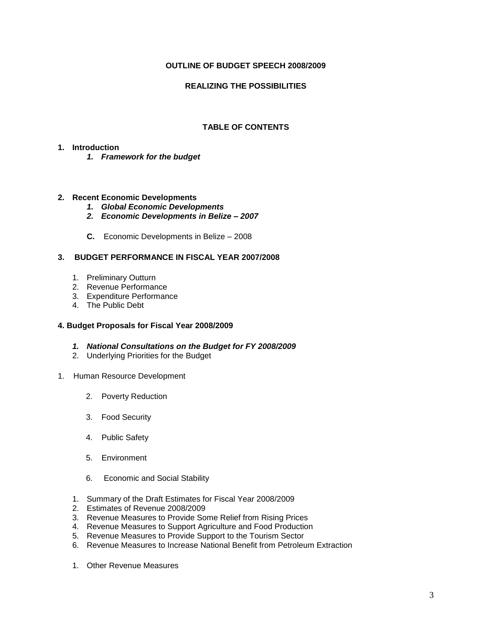#### **OUTLINE OF BUDGET SPEECH 2008/2009**

#### **REALIZING THE POSSIBILITIES**

#### **TABLE OF CONTENTS**

#### **1. Introduction**

*1. Framework for the budget*

#### **2. Recent Economic Developments**

- *1. Global Economic Developments*
- *2. Economic Developments in Belize – 2007*
- **C.** Economic Developments in Belize 2008

#### **3. BUDGET PERFORMANCE IN FISCAL YEAR 2007/2008**

- 1. Preliminary Outturn
- 2. Revenue Performance
- 3. Expenditure Performance
- 4. The Public Debt

#### **4. Budget Proposals for Fiscal Year 2008/2009**

- *1. National Consultations on the Budget for FY 2008/2009*
- 2. Underlying Priorities for the Budget
- 1. Human Resource Development
	- 2. Poverty Reduction
	- 3. Food Security
	- 4. Public Safety
	- 5. Environment
	- 6. Economic and Social Stability
	- 1. Summary of the Draft Estimates for Fiscal Year 2008/2009
	- 2. Estimates of Revenue 2008/2009
	- 3. Revenue Measures to Provide Some Relief from Rising Prices
	- 4. Revenue Measures to Support Agriculture and Food Production
	- 5. Revenue Measures to Provide Support to the Tourism Sector
	- 6. Revenue Measures to Increase National Benefit from Petroleum Extraction
	- 1. Other Revenue Measures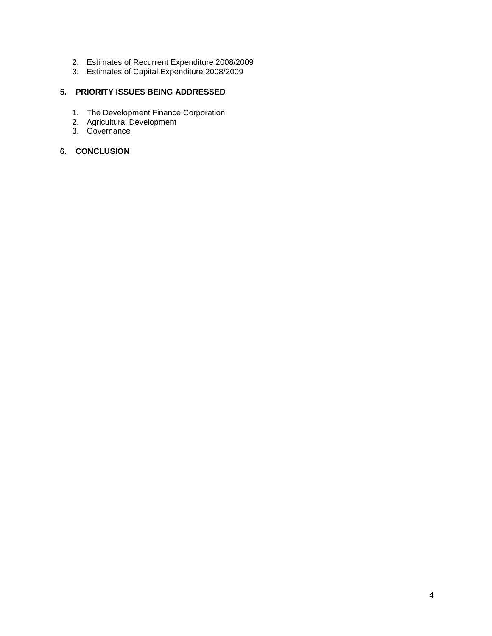- 2. Estimates of Recurrent Expenditure 2008/2009
- 3. Estimates of Capital Expenditure 2008/2009

#### **5. PRIORITY ISSUES BEING ADDRESSED**

- 1. The Development Finance Corporation
- 2. Agricultural Development
- 3. Governance

#### **6. CONCLUSION**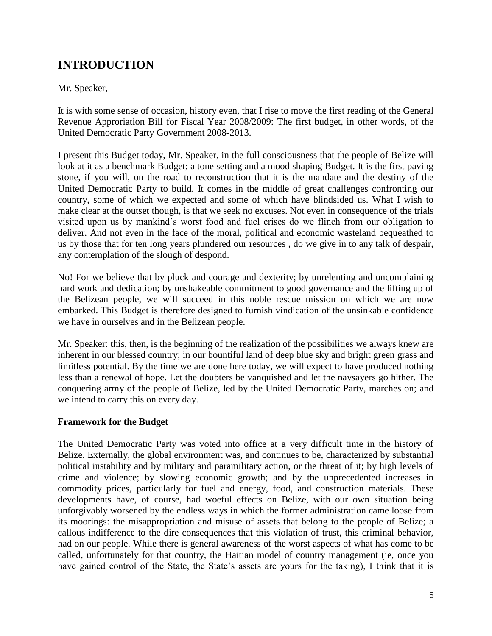# **INTRODUCTION**

### Mr. Speaker,

It is with some sense of occasion, history even, that I rise to move the first reading of the General Revenue Approriation Bill for Fiscal Year 2008/2009: The first budget, in other words, of the United Democratic Party Government 2008-2013.

I present this Budget today, Mr. Speaker, in the full consciousness that the people of Belize will look at it as a benchmark Budget; a tone setting and a mood shaping Budget. It is the first paving stone, if you will, on the road to reconstruction that it is the mandate and the destiny of the United Democratic Party to build. It comes in the middle of great challenges confronting our country, some of which we expected and some of which have blindsided us. What I wish to make clear at the outset though, is that we seek no excuses. Not even in consequence of the trials visited upon us by mankind's worst food and fuel crises do we flinch from our obligation to deliver. And not even in the face of the moral, political and economic wasteland bequeathed to us by those that for ten long years plundered our resources , do we give in to any talk of despair, any contemplation of the slough of despond.

No! For we believe that by pluck and courage and dexterity; by unrelenting and uncomplaining hard work and dedication; by unshakeable commitment to good governance and the lifting up of the Belizean people, we will succeed in this noble rescue mission on which we are now embarked. This Budget is therefore designed to furnish vindication of the unsinkable confidence we have in ourselves and in the Belizean people.

Mr. Speaker: this, then, is the beginning of the realization of the possibilities we always knew are inherent in our blessed country; in our bountiful land of deep blue sky and bright green grass and limitless potential. By the time we are done here today, we will expect to have produced nothing less than a renewal of hope. Let the doubters be vanquished and let the naysayers go hither. The conquering army of the people of Belize, led by the United Democratic Party, marches on; and we intend to carry this on every day.

### **Framework for the Budget**

The United Democratic Party was voted into office at a very difficult time in the history of Belize. Externally, the global environment was, and continues to be, characterized by substantial political instability and by military and paramilitary action, or the threat of it; by high levels of crime and violence; by slowing economic growth; and by the unprecedented increases in commodity prices, particularly for fuel and energy, food, and construction materials. These developments have, of course, had woeful effects on Belize, with our own situation being unforgivably worsened by the endless ways in which the former administration came loose from its moorings: the misappropriation and misuse of assets that belong to the people of Belize; a callous indifference to the dire consequences that this violation of trust, this criminal behavior, had on our people. While there is general awareness of the worst aspects of what has come to be called, unfortunately for that country, the Haitian model of country management (ie, once you have gained control of the State, the State's assets are yours for the taking), I think that it is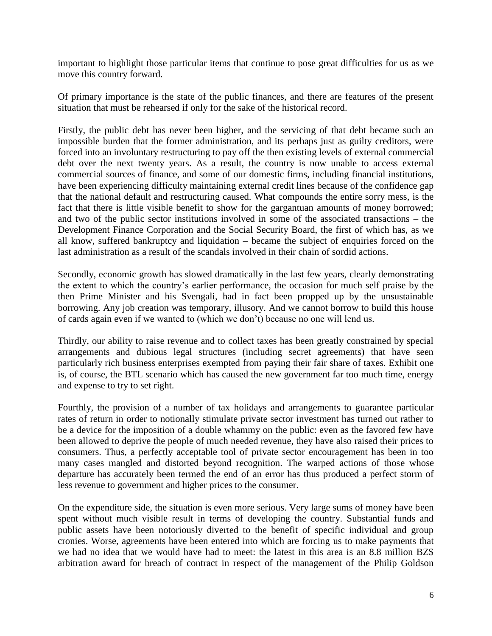important to highlight those particular items that continue to pose great difficulties for us as we move this country forward.

Of primary importance is the state of the public finances, and there are features of the present situation that must be rehearsed if only for the sake of the historical record.

Firstly, the public debt has never been higher, and the servicing of that debt became such an impossible burden that the former administration, and its perhaps just as guilty creditors, were forced into an involuntary restructuring to pay off the then existing levels of external commercial debt over the next twenty years. As a result, the country is now unable to access external commercial sources of finance, and some of our domestic firms, including financial institutions, have been experiencing difficulty maintaining external credit lines because of the confidence gap that the national default and restructuring caused. What compounds the entire sorry mess, is the fact that there is little visible benefit to show for the gargantuan amounts of money borrowed; and two of the public sector institutions involved in some of the associated transactions – the Development Finance Corporation and the Social Security Board, the first of which has, as we all know, suffered bankruptcy and liquidation – became the subject of enquiries forced on the last administration as a result of the scandals involved in their chain of sordid actions.

Secondly, economic growth has slowed dramatically in the last few years, clearly demonstrating the extent to which the country's earlier performance, the occasion for much self praise by the then Prime Minister and his Svengali, had in fact been propped up by the unsustainable borrowing. Any job creation was temporary, illusory. And we cannot borrow to build this house of cards again even if we wanted to (which we don't) because no one will lend us.

Thirdly, our ability to raise revenue and to collect taxes has been greatly constrained by special arrangements and dubious legal structures (including secret agreements) that have seen particularly rich business enterprises exempted from paying their fair share of taxes. Exhibit one is, of course, the BTL scenario which has caused the new government far too much time, energy and expense to try to set right.

Fourthly, the provision of a number of tax holidays and arrangements to guarantee particular rates of return in order to notionally stimulate private sector investment has turned out rather to be a device for the imposition of a double whammy on the public: even as the favored few have been allowed to deprive the people of much needed revenue, they have also raised their prices to consumers. Thus, a perfectly acceptable tool of private sector encouragement has been in too many cases mangled and distorted beyond recognition. The warped actions of those whose departure has accurately been termed the end of an error has thus produced a perfect storm of less revenue to government and higher prices to the consumer.

On the expenditure side, the situation is even more serious. Very large sums of money have been spent without much visible result in terms of developing the country. Substantial funds and public assets have been notoriously diverted to the benefit of specific individual and group cronies. Worse, agreements have been entered into which are forcing us to make payments that we had no idea that we would have had to meet: the latest in this area is an 8.8 million BZ\$ arbitration award for breach of contract in respect of the management of the Philip Goldson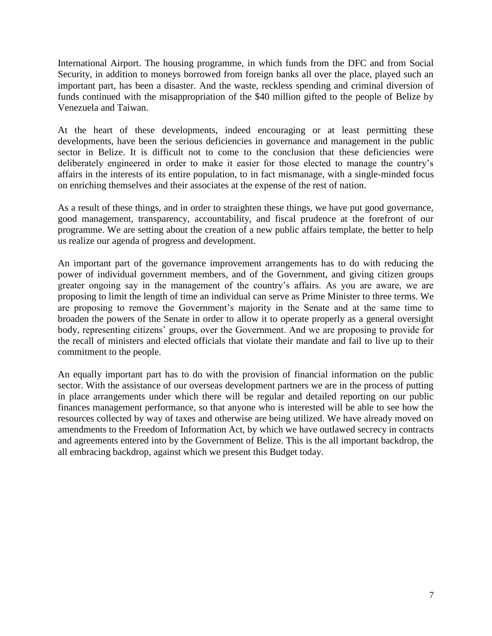International Airport. The housing programme, in which funds from the DFC and from Social Security, in addition to moneys borrowed from foreign banks all over the place, played such an important part, has been a disaster. And the waste, reckless spending and criminal diversion of funds continued with the misappropriation of the \$40 million gifted to the people of Belize by Venezuela and Taiwan.

At the heart of these developments, indeed encouraging or at least permitting these developments, have been the serious deficiencies in governance and management in the public sector in Belize. It is difficult not to come to the conclusion that these deficiencies were deliberately engineered in order to make it easier for those elected to manage the country's affairs in the interests of its entire population, to in fact mismanage, with a single-minded focus on enriching themselves and their associates at the expense of the rest of nation.

As a result of these things, and in order to straighten these things, we have put good governance, good management, transparency, accountability, and fiscal prudence at the forefront of our programme. We are setting about the creation of a new public affairs template, the better to help us realize our agenda of progress and development.

An important part of the governance improvement arrangements has to do with reducing the power of individual government members, and of the Government, and giving citizen groups greater ongoing say in the management of the country's affairs. As you are aware, we are proposing to limit the length of time an individual can serve as Prime Minister to three terms. We are proposing to remove the Government's majority in the Senate and at the same time to broaden the powers of the Senate in order to allow it to operate properly as a general oversight body, representing citizens' groups, over the Government. And we are proposing to provide for the recall of ministers and elected officials that violate their mandate and fail to live up to their commitment to the people.

An equally important part has to do with the provision of financial information on the public sector. With the assistance of our overseas development partners we are in the process of putting in place arrangements under which there will be regular and detailed reporting on our public finances management performance, so that anyone who is interested will be able to see how the resources collected by way of taxes and otherwise are being utilized. We have already moved on amendments to the Freedom of Information Act, by which we have outlawed secrecy in contracts and agreements entered into by the Government of Belize. This is the all important backdrop, the all embracing backdrop, against which we present this Budget today.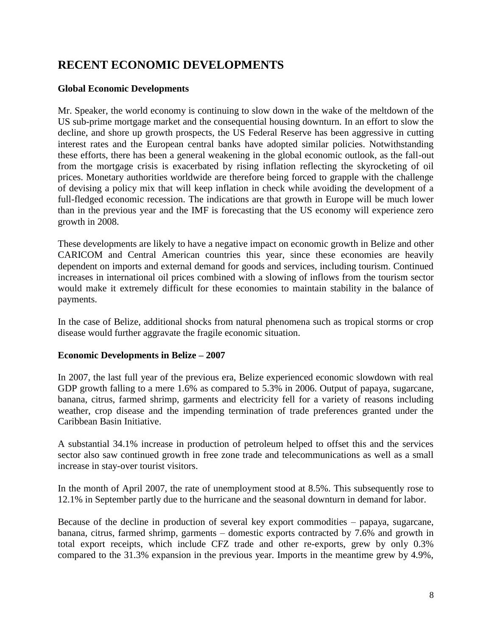# **RECENT ECONOMIC DEVELOPMENTS**

### **Global Economic Developments**

Mr. Speaker, the world economy is continuing to slow down in the wake of the meltdown of the US sub-prime mortgage market and the consequential housing downturn. In an effort to slow the decline, and shore up growth prospects, the US Federal Reserve has been aggressive in cutting interest rates and the European central banks have adopted similar policies. Notwithstanding these efforts, there has been a general weakening in the global economic outlook, as the fall-out from the mortgage crisis is exacerbated by rising inflation reflecting the skyrocketing of oil prices. Monetary authorities worldwide are therefore being forced to grapple with the challenge of devising a policy mix that will keep inflation in check while avoiding the development of a full-fledged economic recession. The indications are that growth in Europe will be much lower than in the previous year and the IMF is forecasting that the US economy will experience zero growth in 2008.

These developments are likely to have a negative impact on economic growth in Belize and other CARICOM and Central American countries this year, since these economies are heavily dependent on imports and external demand for goods and services, including tourism. Continued increases in international oil prices combined with a slowing of inflows from the tourism sector would make it extremely difficult for these economies to maintain stability in the balance of payments.

In the case of Belize, additional shocks from natural phenomena such as tropical storms or crop disease would further aggravate the fragile economic situation.

#### **Economic Developments in Belize – 2007**

In 2007, the last full year of the previous era, Belize experienced economic slowdown with real GDP growth falling to a mere 1.6% as compared to 5.3% in 2006. Output of papaya, sugarcane, banana, citrus, farmed shrimp, garments and electricity fell for a variety of reasons including weather, crop disease and the impending termination of trade preferences granted under the Caribbean Basin Initiative.

A substantial 34.1% increase in production of petroleum helped to offset this and the services sector also saw continued growth in free zone trade and telecommunications as well as a small increase in stay-over tourist visitors.

In the month of April 2007, the rate of unemployment stood at 8.5%. This subsequently rose to 12.1% in September partly due to the hurricane and the seasonal downturn in demand for labor.

Because of the decline in production of several key export commodities – papaya, sugarcane, banana, citrus, farmed shrimp, garments – domestic exports contracted by 7.6% and growth in total export receipts, which include CFZ trade and other re-exports, grew by only 0.3% compared to the 31.3% expansion in the previous year. Imports in the meantime grew by 4.9%,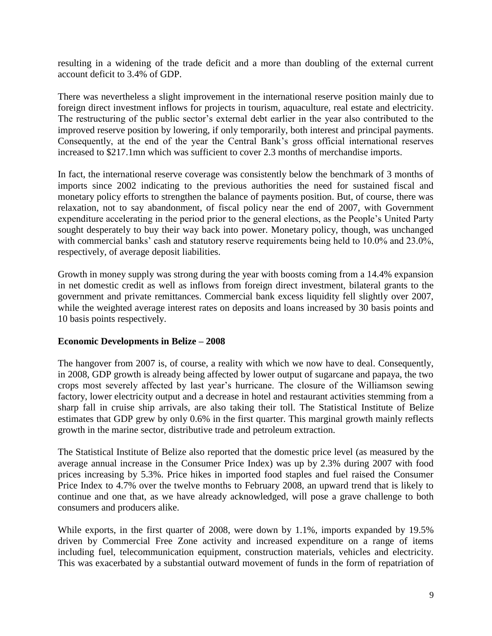resulting in a widening of the trade deficit and a more than doubling of the external current account deficit to 3.4% of GDP.

There was nevertheless a slight improvement in the international reserve position mainly due to foreign direct investment inflows for projects in tourism, aquaculture, real estate and electricity. The restructuring of the public sector's external debt earlier in the year also contributed to the improved reserve position by lowering, if only temporarily, both interest and principal payments. Consequently, at the end of the year the Central Bank's gross official international reserves increased to \$217.1mn which was sufficient to cover 2.3 months of merchandise imports.

In fact, the international reserve coverage was consistently below the benchmark of 3 months of imports since 2002 indicating to the previous authorities the need for sustained fiscal and monetary policy efforts to strengthen the balance of payments position. But, of course, there was relaxation, not to say abandonment, of fiscal policy near the end of 2007, with Government expenditure accelerating in the period prior to the general elections, as the People's United Party sought desperately to buy their way back into power. Monetary policy, though, was unchanged with commercial banks' cash and statutory reserve requirements being held to 10.0% and 23.0%, respectively, of average deposit liabilities.

Growth in money supply was strong during the year with boosts coming from a 14.4% expansion in net domestic credit as well as inflows from foreign direct investment, bilateral grants to the government and private remittances. Commercial bank excess liquidity fell slightly over 2007, while the weighted average interest rates on deposits and loans increased by 30 basis points and 10 basis points respectively.

#### **Economic Developments in Belize – 2008**

The hangover from 2007 is, of course, a reality with which we now have to deal. Consequently, in 2008, GDP growth is already being affected by lower output of sugarcane and papaya, the two crops most severely affected by last year's hurricane. The closure of the Williamson sewing factory, lower electricity output and a decrease in hotel and restaurant activities stemming from a sharp fall in cruise ship arrivals, are also taking their toll. The Statistical Institute of Belize estimates that GDP grew by only 0.6% in the first quarter. This marginal growth mainly reflects growth in the marine sector, distributive trade and petroleum extraction.

The Statistical Institute of Belize also reported that the domestic price level (as measured by the average annual increase in the Consumer Price Index) was up by 2.3% during 2007 with food prices increasing by 5.3%. Price hikes in imported food staples and fuel raised the Consumer Price Index to 4.7% over the twelve months to February 2008, an upward trend that is likely to continue and one that, as we have already acknowledged, will pose a grave challenge to both consumers and producers alike.

While exports, in the first quarter of 2008, were down by 1.1%, imports expanded by 19.5% driven by Commercial Free Zone activity and increased expenditure on a range of items including fuel, telecommunication equipment, construction materials, vehicles and electricity. This was exacerbated by a substantial outward movement of funds in the form of repatriation of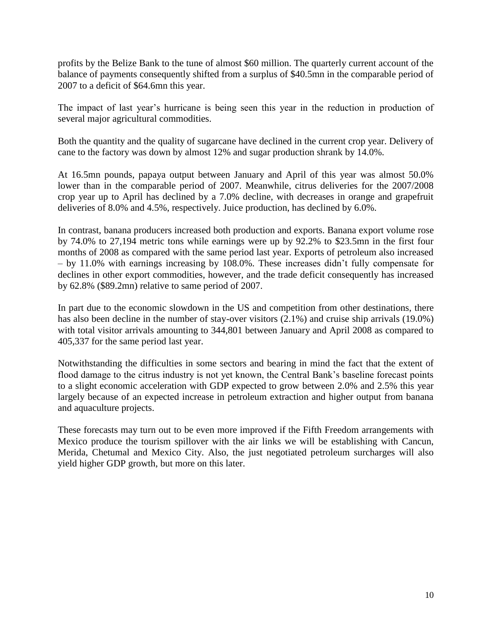profits by the Belize Bank to the tune of almost \$60 million. The quarterly current account of the balance of payments consequently shifted from a surplus of \$40.5mn in the comparable period of 2007 to a deficit of \$64.6mn this year.

The impact of last year's hurricane is being seen this year in the reduction in production of several major agricultural commodities.

Both the quantity and the quality of sugarcane have declined in the current crop year. Delivery of cane to the factory was down by almost 12% and sugar production shrank by 14.0%.

At 16.5mn pounds, papaya output between January and April of this year was almost 50.0% lower than in the comparable period of 2007. Meanwhile, citrus deliveries for the 2007/2008 crop year up to April has declined by a 7.0% decline, with decreases in orange and grapefruit deliveries of 8.0% and 4.5%, respectively. Juice production, has declined by 6.0%.

In contrast, banana producers increased both production and exports. Banana export volume rose by 74.0% to 27,194 metric tons while earnings were up by 92.2% to \$23.5mn in the first four months of 2008 as compared with the same period last year. Exports of petroleum also increased – by 11.0% with earnings increasing by 108.0%. These increases didn't fully compensate for declines in other export commodities, however, and the trade deficit consequently has increased by 62.8% (\$89.2mn) relative to same period of 2007.

In part due to the economic slowdown in the US and competition from other destinations, there has also been decline in the number of stay-over visitors (2.1%) and cruise ship arrivals (19.0%) with total visitor arrivals amounting to 344,801 between January and April 2008 as compared to 405,337 for the same period last year.

Notwithstanding the difficulties in some sectors and bearing in mind the fact that the extent of flood damage to the citrus industry is not yet known, the Central Bank's baseline forecast points to a slight economic acceleration with GDP expected to grow between 2.0% and 2.5% this year largely because of an expected increase in petroleum extraction and higher output from banana and aquaculture projects.

These forecasts may turn out to be even more improved if the Fifth Freedom arrangements with Mexico produce the tourism spillover with the air links we will be establishing with Cancun, Merida, Chetumal and Mexico City. Also, the just negotiated petroleum surcharges will also yield higher GDP growth, but more on this later.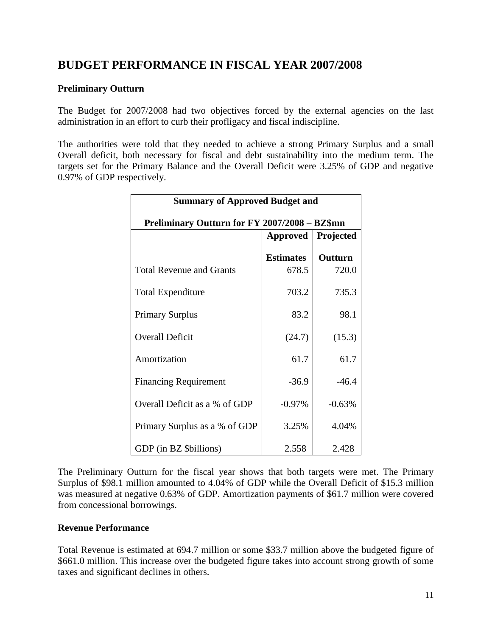# **BUDGET PERFORMANCE IN FISCAL YEAR 2007/2008**

#### **Preliminary Outturn**

The Budget for 2007/2008 had two objectives forced by the external agencies on the last administration in an effort to curb their profligacy and fiscal indiscipline.

The authorities were told that they needed to achieve a strong Primary Surplus and a small Overall deficit, both necessary for fiscal and debt sustainability into the medium term. The targets set for the Primary Balance and the Overall Deficit were 3.25% of GDP and negative 0.97% of GDP respectively.

| <b>Summary of Approved Budget and</b>         |                  |           |  |  |  |
|-----------------------------------------------|------------------|-----------|--|--|--|
| Preliminary Outturn for FY 2007/2008 - BZ\$mn |                  |           |  |  |  |
|                                               | <b>Approved</b>  | Projected |  |  |  |
|                                               | <b>Estimates</b> | Outturn   |  |  |  |
| <b>Total Revenue and Grants</b>               | 678.5            | 720.0     |  |  |  |
| <b>Total Expenditure</b>                      | 703.2            | 735.3     |  |  |  |
| <b>Primary Surplus</b>                        | 83.2             | 98.1      |  |  |  |
| <b>Overall Deficit</b>                        | (24.7)           | (15.3)    |  |  |  |
| Amortization                                  | 61.7             | 61.7      |  |  |  |
| <b>Financing Requirement</b>                  | $-36.9$          | $-46.4$   |  |  |  |
| Overall Deficit as a % of GDP                 | $-0.97%$         | $-0.63%$  |  |  |  |
| Primary Surplus as a % of GDP                 | 3.25%            | 4.04%     |  |  |  |
| GDP (in BZ \$billions)                        | 2.558            | 2.428     |  |  |  |

The Preliminary Outturn for the fiscal year shows that both targets were met. The Primary Surplus of \$98.1 million amounted to 4.04% of GDP while the Overall Deficit of \$15.3 million was measured at negative 0.63% of GDP. Amortization payments of \$61.7 million were covered from concessional borrowings.

#### **Revenue Performance**

Total Revenue is estimated at 694.7 million or some \$33.7 million above the budgeted figure of \$661.0 million. This increase over the budgeted figure takes into account strong growth of some taxes and significant declines in others.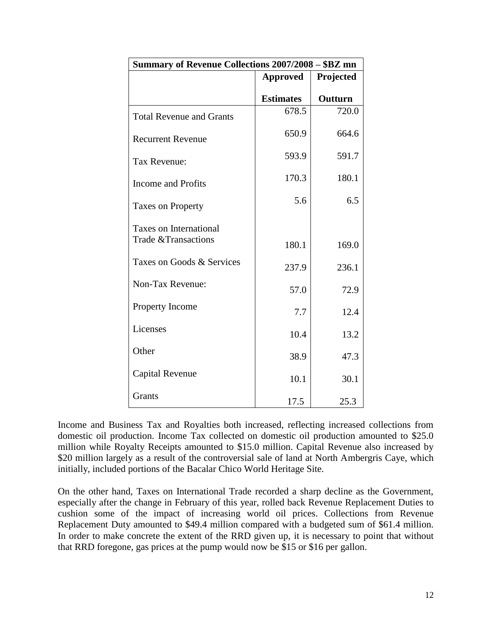| Summary of Revenue Collections 2007/2008 - \$BZ mn |                  |           |  |  |
|----------------------------------------------------|------------------|-----------|--|--|
|                                                    | <b>Approved</b>  | Projected |  |  |
|                                                    | <b>Estimates</b> | Outturn   |  |  |
| <b>Total Revenue and Grants</b>                    | 678.5            | 720.0     |  |  |
| <b>Recurrent Revenue</b>                           | 650.9            | 664.6     |  |  |
| Tax Revenue:                                       | 593.9            | 591.7     |  |  |
| Income and Profits                                 | 170.3            | 180.1     |  |  |
| <b>Taxes on Property</b>                           | 5.6              | 6.5       |  |  |
| <b>Taxes on International</b>                      |                  |           |  |  |
| Trade & Transactions                               | 180.1            | 169.0     |  |  |
| Taxes on Goods & Services                          | 237.9            | 236.1     |  |  |
| Non-Tax Revenue:                                   | 57.0             | 72.9      |  |  |
| Property Income                                    | 7.7              | 12.4      |  |  |
| Licenses                                           | 10.4             | 13.2      |  |  |
| Other                                              | 38.9             | 47.3      |  |  |
| Capital Revenue                                    | 10.1             | 30.1      |  |  |
| Grants                                             | 17.5             | 25.3      |  |  |

Income and Business Tax and Royalties both increased, reflecting increased collections from domestic oil production. Income Tax collected on domestic oil production amounted to \$25.0 million while Royalty Receipts amounted to \$15.0 million. Capital Revenue also increased by \$20 million largely as a result of the controversial sale of land at North Ambergris Caye, which initially, included portions of the Bacalar Chico World Heritage Site.

On the other hand, Taxes on International Trade recorded a sharp decline as the Government, especially after the change in February of this year, rolled back Revenue Replacement Duties to cushion some of the impact of increasing world oil prices. Collections from Revenue Replacement Duty amounted to \$49.4 million compared with a budgeted sum of \$61.4 million. In order to make concrete the extent of the RRD given up, it is necessary to point that without that RRD foregone, gas prices at the pump would now be \$15 or \$16 per gallon.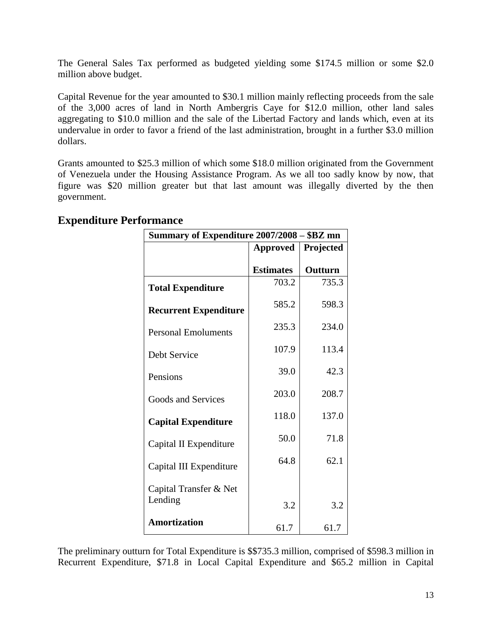The General Sales Tax performed as budgeted yielding some \$174.5 million or some \$2.0 million above budget.

Capital Revenue for the year amounted to \$30.1 million mainly reflecting proceeds from the sale of the 3,000 acres of land in North Ambergris Caye for \$12.0 million, other land sales aggregating to \$10.0 million and the sale of the Libertad Factory and lands which, even at its undervalue in order to favor a friend of the last administration, brought in a further \$3.0 million dollars.

Grants amounted to \$25.3 million of which some \$18.0 million originated from the Government of Venezuela under the Housing Assistance Program. As we all too sadly know by now, that figure was \$20 million greater but that last amount was illegally diverted by the then government.

| Summary of Expenditure 2007/2008 - \$BZ mn |                  |           |
|--------------------------------------------|------------------|-----------|
|                                            | <b>Approved</b>  | Projected |
|                                            | <b>Estimates</b> | Outturn   |
| <b>Total Expenditure</b>                   | 703.2            | 735.3     |
| <b>Recurrent Expenditure</b>               | 585.2            | 598.3     |
| <b>Personal Emoluments</b>                 | 235.3            | 234.0     |
| Debt Service                               | 107.9            | 113.4     |
| Pensions                                   | 39.0             | 42.3      |
| Goods and Services                         | 203.0            | 208.7     |
| <b>Capital Expenditure</b>                 | 118.0            | 137.0     |
| Capital II Expenditure                     | 50.0             | 71.8      |
| Capital III Expenditure                    | 64.8             | 62.1      |
| Capital Transfer & Net                     |                  |           |
| Lending                                    | 3.2              | 3.2       |
| <b>Amortization</b>                        | 61.7             | 61.7      |

## **Expenditure Performance**

The preliminary outturn for Total Expenditure is \$\$735.3 million, comprised of \$598.3 million in Recurrent Expenditure, \$71.8 in Local Capital Expenditure and \$65.2 million in Capital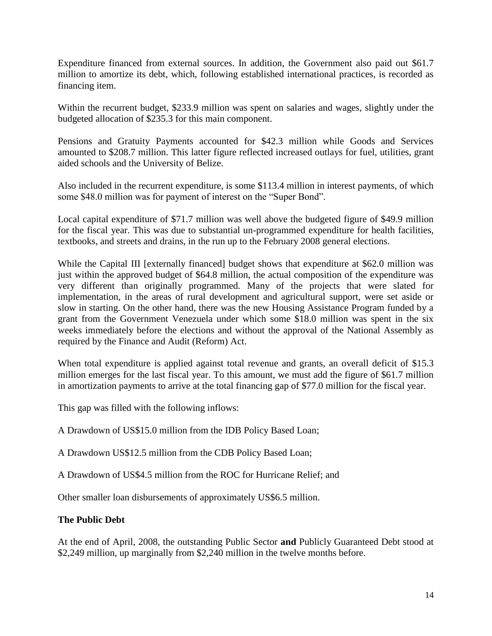Expenditure financed from external sources. In addition, the Government also paid out \$61.7 million to amortize its debt, which, following established international practices, is recorded as financing item.

Within the recurrent budget, \$233.9 million was spent on salaries and wages, slightly under the budgeted allocation of \$235.3 for this main component.

Pensions and Gratuity Payments accounted for \$42.3 million while Goods and Services amounted to \$208.7 million. This latter figure reflected increased outlays for fuel, utilities, grant aided schools and the University of Belize.

Also included in the recurrent expenditure, is some \$113.4 million in interest payments, of which some \$48.0 million was for payment of interest on the "Super Bond".

Local capital expenditure of \$71.7 million was well above the budgeted figure of \$49.9 million for the fiscal year. This was due to substantial un-programmed expenditure for health facilities, textbooks, and streets and drains, in the run up to the February 2008 general elections.

While the Capital III [externally financed] budget shows that expenditure at \$62.0 million was just within the approved budget of \$64.8 million, the actual composition of the expenditure was very different than originally programmed. Many of the projects that were slated for implementation, in the areas of rural development and agricultural support, were set aside or slow in starting. On the other hand, there was the new Housing Assistance Program funded by a grant from the Government Venezuela under which some \$18.0 million was spent in the six weeks immediately before the elections and without the approval of the National Assembly as required by the Finance and Audit (Reform) Act.

When total expenditure is applied against total revenue and grants, an overall deficit of \$15.3 million emerges for the last fiscal year. To this amount, we must add the figure of \$61.7 million in amortization payments to arrive at the total financing gap of \$77.0 million for the fiscal year.

This gap was filled with the following inflows:

A Drawdown of US\$15.0 million from the IDB Policy Based Loan;

A Drawdown US\$12.5 million from the CDB Policy Based Loan;

A Drawdown of US\$4.5 million from the ROC for Hurricane Relief; and

Other smaller loan disbursements of approximately US\$6.5 million.

### **The Public Debt**

At the end of April, 2008, the outstanding Public Sector **and** Publicly Guaranteed Debt stood at \$2,249 million, up marginally from \$2,240 million in the twelve months before.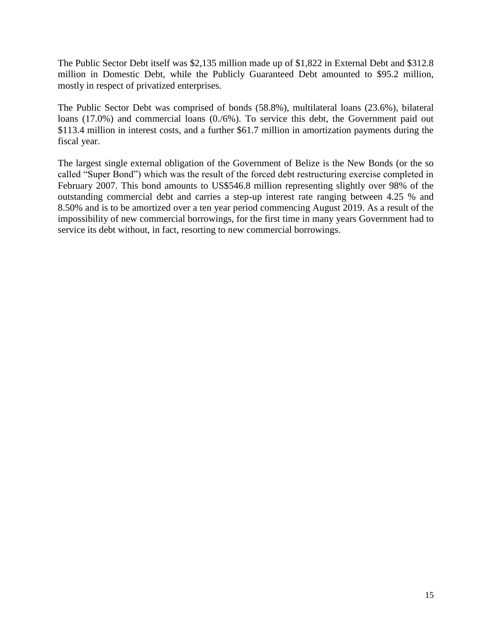The Public Sector Debt itself was \$2,135 million made up of \$1,822 in External Debt and \$312.8 million in Domestic Debt, while the Publicly Guaranteed Debt amounted to \$95.2 million, mostly in respect of privatized enterprises.

The Public Sector Debt was comprised of bonds (58.8%), multilateral loans (23.6%), bilateral loans (17.0%) and commercial loans (0./6%). To service this debt, the Government paid out \$113.4 million in interest costs, and a further \$61.7 million in amortization payments during the fiscal year.

The largest single external obligation of the Government of Belize is the New Bonds (or the so called "Super Bond") which was the result of the forced debt restructuring exercise completed in February 2007. This bond amounts to US\$546.8 million representing slightly over 98% of the outstanding commercial debt and carries a step-up interest rate ranging between 4.25 % and 8.50% and is to be amortized over a ten year period commencing August 2019. As a result of the impossibility of new commercial borrowings, for the first time in many years Government had to service its debt without, in fact, resorting to new commercial borrowings.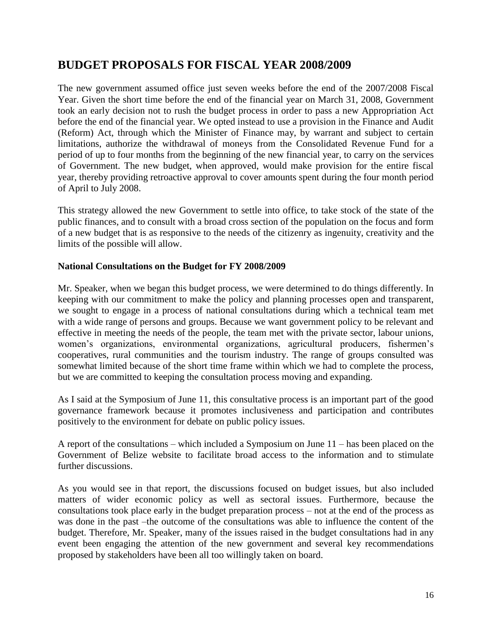# **BUDGET PROPOSALS FOR FISCAL YEAR 2008/2009**

The new government assumed office just seven weeks before the end of the 2007/2008 Fiscal Year. Given the short time before the end of the financial year on March 31, 2008, Government took an early decision not to rush the budget process in order to pass a new Appropriation Act before the end of the financial year. We opted instead to use a provision in the Finance and Audit (Reform) Act, through which the Minister of Finance may, by warrant and subject to certain limitations, authorize the withdrawal of moneys from the Consolidated Revenue Fund for a period of up to four months from the beginning of the new financial year, to carry on the services of Government. The new budget, when approved, would make provision for the entire fiscal year, thereby providing retroactive approval to cover amounts spent during the four month period of April to July 2008.

This strategy allowed the new Government to settle into office, to take stock of the state of the public finances, and to consult with a broad cross section of the population on the focus and form of a new budget that is as responsive to the needs of the citizenry as ingenuity, creativity and the limits of the possible will allow.

#### **National Consultations on the Budget for FY 2008/2009**

Mr. Speaker, when we began this budget process, we were determined to do things differently. In keeping with our commitment to make the policy and planning processes open and transparent, we sought to engage in a process of national consultations during which a technical team met with a wide range of persons and groups. Because we want government policy to be relevant and effective in meeting the needs of the people, the team met with the private sector, labour unions, women's organizations, environmental organizations, agricultural producers, fishermen's cooperatives, rural communities and the tourism industry. The range of groups consulted was somewhat limited because of the short time frame within which we had to complete the process, but we are committed to keeping the consultation process moving and expanding.

As I said at the Symposium of June 11, this consultative process is an important part of the good governance framework because it promotes inclusiveness and participation and contributes positively to the environment for debate on public policy issues.

A report of the consultations – which included a Symposium on June 11 – has been placed on the Government of Belize website to facilitate broad access to the information and to stimulate further discussions.

As you would see in that report, the discussions focused on budget issues, but also included matters of wider economic policy as well as sectoral issues. Furthermore, because the consultations took place early in the budget preparation process – not at the end of the process as was done in the past –the outcome of the consultations was able to influence the content of the budget. Therefore, Mr. Speaker, many of the issues raised in the budget consultations had in any event been engaging the attention of the new government and several key recommendations proposed by stakeholders have been all too willingly taken on board.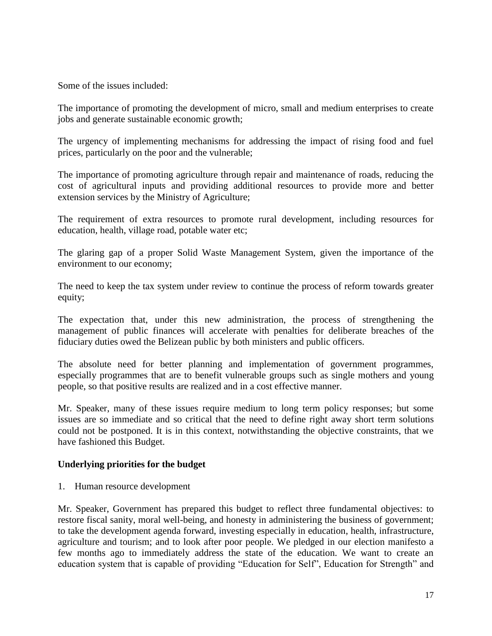Some of the issues included:

The importance of promoting the development of micro, small and medium enterprises to create jobs and generate sustainable economic growth;

The urgency of implementing mechanisms for addressing the impact of rising food and fuel prices, particularly on the poor and the vulnerable;

The importance of promoting agriculture through repair and maintenance of roads, reducing the cost of agricultural inputs and providing additional resources to provide more and better extension services by the Ministry of Agriculture;

The requirement of extra resources to promote rural development, including resources for education, health, village road, potable water etc;

The glaring gap of a proper Solid Waste Management System, given the importance of the environment to our economy;

The need to keep the tax system under review to continue the process of reform towards greater equity;

The expectation that, under this new administration, the process of strengthening the management of public finances will accelerate with penalties for deliberate breaches of the fiduciary duties owed the Belizean public by both ministers and public officers.

The absolute need for better planning and implementation of government programmes, especially programmes that are to benefit vulnerable groups such as single mothers and young people, so that positive results are realized and in a cost effective manner.

Mr. Speaker, many of these issues require medium to long term policy responses; but some issues are so immediate and so critical that the need to define right away short term solutions could not be postponed. It is in this context, notwithstanding the objective constraints, that we have fashioned this Budget.

#### **Underlying priorities for the budget**

1. Human resource development

Mr. Speaker, Government has prepared this budget to reflect three fundamental objectives: to restore fiscal sanity, moral well-being, and honesty in administering the business of government; to take the development agenda forward, investing especially in education, health, infrastructure, agriculture and tourism; and to look after poor people. We pledged in our election manifesto a few months ago to immediately address the state of the education. We want to create an education system that is capable of providing "Education for Self", Education for Strength" and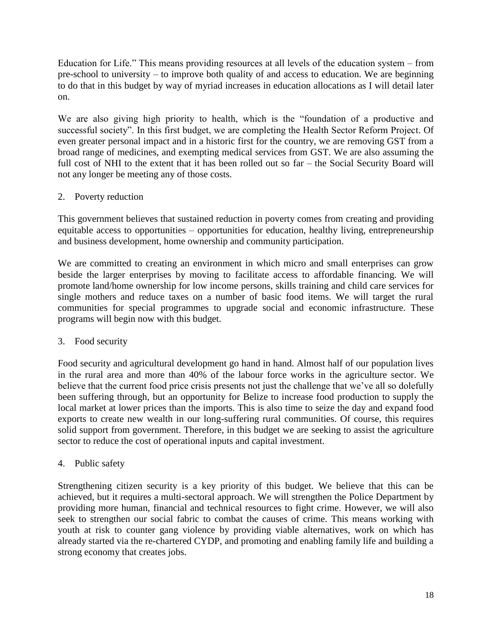Education for Life." This means providing resources at all levels of the education system – from pre-school to university – to improve both quality of and access to education. We are beginning to do that in this budget by way of myriad increases in education allocations as I will detail later on.

We are also giving high priority to health, which is the "foundation of a productive and successful society". In this first budget, we are completing the Health Sector Reform Project. Of even greater personal impact and in a historic first for the country, we are removing GST from a broad range of medicines, and exempting medical services from GST. We are also assuming the full cost of NHI to the extent that it has been rolled out so far – the Social Security Board will not any longer be meeting any of those costs.

### 2. Poverty reduction

This government believes that sustained reduction in poverty comes from creating and providing equitable access to opportunities – opportunities for education, healthy living, entrepreneurship and business development, home ownership and community participation.

We are committed to creating an environment in which micro and small enterprises can grow beside the larger enterprises by moving to facilitate access to affordable financing. We will promote land/home ownership for low income persons, skills training and child care services for single mothers and reduce taxes on a number of basic food items. We will target the rural communities for special programmes to upgrade social and economic infrastructure. These programs will begin now with this budget.

### 3. Food security

Food security and agricultural development go hand in hand. Almost half of our population lives in the rural area and more than 40% of the labour force works in the agriculture sector. We believe that the current food price crisis presents not just the challenge that we've all so dolefully been suffering through, but an opportunity for Belize to increase food production to supply the local market at lower prices than the imports. This is also time to seize the day and expand food exports to create new wealth in our long-suffering rural communities. Of course, this requires solid support from government. Therefore, in this budget we are seeking to assist the agriculture sector to reduce the cost of operational inputs and capital investment.

### 4. Public safety

Strengthening citizen security is a key priority of this budget. We believe that this can be achieved, but it requires a multi-sectoral approach. We will strengthen the Police Department by providing more human, financial and technical resources to fight crime. However, we will also seek to strengthen our social fabric to combat the causes of crime. This means working with youth at risk to counter gang violence by providing viable alternatives, work on which has already started via the re-chartered CYDP, and promoting and enabling family life and building a strong economy that creates jobs.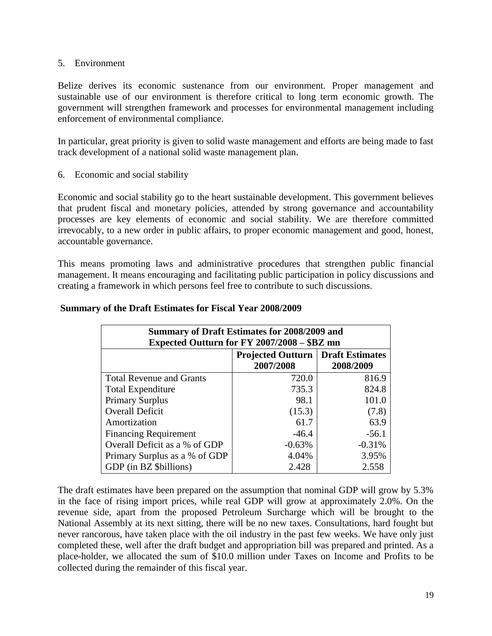#### 5. Environment

Belize derives its economic sustenance from our environment. Proper management and sustainable use of our environment is therefore critical to long term economic growth. The government will strengthen framework and processes for environmental management including enforcement of environmental compliance.

In particular, great priority is given to solid waste management and efforts are being made to fast track development of a national solid waste management plan.

6. Economic and social stability

Economic and social stability go to the heart sustainable development. This government believes that prudent fiscal and monetary policies, attended by strong governance and accountability processes are key elements of economic and social stability. We are therefore committed irrevocably, to a new order in public affairs, to proper economic management and good, honest, accountable governance.

This means promoting laws and administrative procedures that strengthen public financial management. It means encouraging and facilitating public participation in policy discussions and creating a framework in which persons feel free to contribute to such discussions.

| Summary of Draft Estimates for 2008/2009 and<br>Expected Outturn for FY 2007/2008 - \$BZ mn |          |          |  |  |  |  |  |
|---------------------------------------------------------------------------------------------|----------|----------|--|--|--|--|--|
| <b>Projected Outturn   Draft Estimates</b><br>2008/2009<br>2007/2008                        |          |          |  |  |  |  |  |
| <b>Total Revenue and Grants</b>                                                             | 720.0    | 816.9    |  |  |  |  |  |
| <b>Total Expenditure</b>                                                                    | 735.3    | 824.8    |  |  |  |  |  |
| <b>Primary Surplus</b>                                                                      | 98.1     | 101.0    |  |  |  |  |  |
| <b>Overall Deficit</b>                                                                      | (15.3)   | (7.8)    |  |  |  |  |  |
| Amortization                                                                                | 61.7     | 63.9     |  |  |  |  |  |
| <b>Financing Requirement</b>                                                                | $-46.4$  | $-56.1$  |  |  |  |  |  |
| Overall Deficit as a % of GDP                                                               | $-0.63%$ | $-0.31%$ |  |  |  |  |  |
| Primary Surplus as a % of GDP                                                               | 4.04%    | 3.95%    |  |  |  |  |  |
| GDP (in BZ \$billions)                                                                      | 2.428    | 2.558    |  |  |  |  |  |

#### **Summary of the Draft Estimates for Fiscal Year 2008/2009**

The draft estimates have been prepared on the assumption that nominal GDP will grow by 5.3% in the face of rising import prices, while real GDP will grow at approximately 2.0%. On the revenue side, apart from the proposed Petroleum Surcharge which will be brought to the National Assembly at its next sitting, there will be no new taxes. Consultations, hard fought but never rancorous, have taken place with the oil industry in the past few weeks. We have only just completed these, well after the draft budget and appropriation bill was prepared and printed. As a place-holder, we allocated the sum of \$10.0 million under Taxes on Income and Profits to be collected during the remainder of this fiscal year.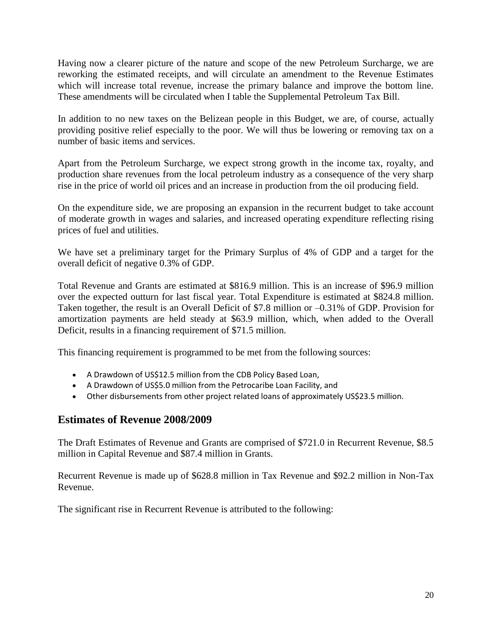Having now a clearer picture of the nature and scope of the new Petroleum Surcharge, we are reworking the estimated receipts, and will circulate an amendment to the Revenue Estimates which will increase total revenue, increase the primary balance and improve the bottom line. These amendments will be circulated when I table the Supplemental Petroleum Tax Bill.

In addition to no new taxes on the Belizean people in this Budget, we are, of course, actually providing positive relief especially to the poor. We will thus be lowering or removing tax on a number of basic items and services.

Apart from the Petroleum Surcharge, we expect strong growth in the income tax, royalty, and production share revenues from the local petroleum industry as a consequence of the very sharp rise in the price of world oil prices and an increase in production from the oil producing field.

On the expenditure side, we are proposing an expansion in the recurrent budget to take account of moderate growth in wages and salaries, and increased operating expenditure reflecting rising prices of fuel and utilities.

We have set a preliminary target for the Primary Surplus of 4% of GDP and a target for the overall deficit of negative 0.3% of GDP.

Total Revenue and Grants are estimated at \$816.9 million. This is an increase of \$96.9 million over the expected outturn for last fiscal year. Total Expenditure is estimated at \$824.8 million. Taken together, the result is an Overall Deficit of \$7.8 million or –0.31% of GDP. Provision for amortization payments are held steady at \$63.9 million, which, when added to the Overall Deficit, results in a financing requirement of \$71.5 million.

This financing requirement is programmed to be met from the following sources:

- A Drawdown of US\$12.5 million from the CDB Policy Based Loan,
- A Drawdown of US\$5.0 million from the Petrocaribe Loan Facility, and
- Other disbursements from other project related loans of approximately US\$23.5 million.

## **Estimates of Revenue 2008/2009**

The Draft Estimates of Revenue and Grants are comprised of \$721.0 in Recurrent Revenue, \$8.5 million in Capital Revenue and \$87.4 million in Grants.

Recurrent Revenue is made up of \$628.8 million in Tax Revenue and \$92.2 million in Non-Tax Revenue.

The significant rise in Recurrent Revenue is attributed to the following: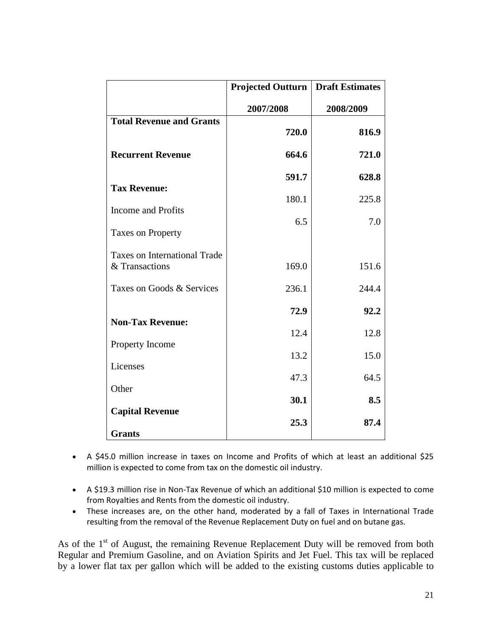|                                                       | <b>Projected Outturn</b> | <b>Draft Estimates</b> |
|-------------------------------------------------------|--------------------------|------------------------|
|                                                       | 2007/2008                | 2008/2009              |
| <b>Total Revenue and Grants</b>                       | 720.0                    | 816.9                  |
| <b>Recurrent Revenue</b>                              | 664.6                    | 721.0                  |
| <b>Tax Revenue:</b>                                   | 591.7                    | 628.8                  |
| <b>Income and Profits</b>                             | 180.1                    | 225.8                  |
| <b>Taxes on Property</b>                              | 6.5                      | 7.0                    |
| <b>Taxes on International Trade</b><br>& Transactions | 169.0                    | 151.6                  |
| Taxes on Goods & Services                             | 236.1                    | 244.4                  |
| <b>Non-Tax Revenue:</b>                               | 72.9                     | 92.2                   |
|                                                       | 12.4                     | 12.8                   |
| Property Income                                       | 13.2                     | 15.0                   |
| Licenses                                              | 47.3                     | 64.5                   |
| Other                                                 | 30.1                     | 8.5                    |
| <b>Capital Revenue</b>                                | 25.3                     | 87.4                   |
| <b>Grants</b>                                         |                          |                        |

- A \$45.0 million increase in taxes on Income and Profits of which at least an additional \$25 million is expected to come from tax on the domestic oil industry.
- A \$19.3 million rise in Non-Tax Revenue of which an additional \$10 million is expected to come from Royalties and Rents from the domestic oil industry.
- These increases are, on the other hand, moderated by a fall of Taxes in International Trade resulting from the removal of the Revenue Replacement Duty on fuel and on butane gas.

As of the 1<sup>st</sup> of August, the remaining Revenue Replacement Duty will be removed from both Regular and Premium Gasoline, and on Aviation Spirits and Jet Fuel. This tax will be replaced by a lower flat tax per gallon which will be added to the existing customs duties applicable to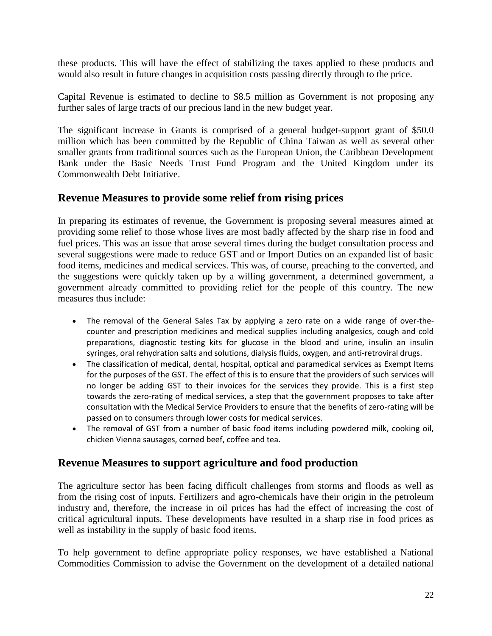these products. This will have the effect of stabilizing the taxes applied to these products and would also result in future changes in acquisition costs passing directly through to the price.

Capital Revenue is estimated to decline to \$8.5 million as Government is not proposing any further sales of large tracts of our precious land in the new budget year.

The significant increase in Grants is comprised of a general budget-support grant of \$50.0 million which has been committed by the Republic of China Taiwan as well as several other smaller grants from traditional sources such as the European Union, the Caribbean Development Bank under the Basic Needs Trust Fund Program and the United Kingdom under its Commonwealth Debt Initiative.

## **Revenue Measures to provide some relief from rising prices**

In preparing its estimates of revenue, the Government is proposing several measures aimed at providing some relief to those whose lives are most badly affected by the sharp rise in food and fuel prices. This was an issue that arose several times during the budget consultation process and several suggestions were made to reduce GST and or Import Duties on an expanded list of basic food items, medicines and medical services. This was, of course, preaching to the converted, and the suggestions were quickly taken up by a willing government, a determined government, a government already committed to providing relief for the people of this country. The new measures thus include:

- The removal of the General Sales Tax by applying a zero rate on a wide range of over-thecounter and prescription medicines and medical supplies including analgesics, cough and cold preparations, diagnostic testing kits for glucose in the blood and urine, insulin an insulin syringes, oral rehydration salts and solutions, dialysis fluids, oxygen, and anti-retroviral drugs.
- The classification of medical, dental, hospital, optical and paramedical services as Exempt Items for the purposes of the GST. The effect of this is to ensure that the providers of such services will no longer be adding GST to their invoices for the services they provide. This is a first step towards the zero-rating of medical services, a step that the government proposes to take after consultation with the Medical Service Providers to ensure that the benefits of zero-rating will be passed on to consumers through lower costs for medical services.
- The removal of GST from a number of basic food items including powdered milk, cooking oil, chicken Vienna sausages, corned beef, coffee and tea.

## **Revenue Measures to support agriculture and food production**

The agriculture sector has been facing difficult challenges from storms and floods as well as from the rising cost of inputs. Fertilizers and agro-chemicals have their origin in the petroleum industry and, therefore, the increase in oil prices has had the effect of increasing the cost of critical agricultural inputs. These developments have resulted in a sharp rise in food prices as well as instability in the supply of basic food items.

To help government to define appropriate policy responses, we have established a National Commodities Commission to advise the Government on the development of a detailed national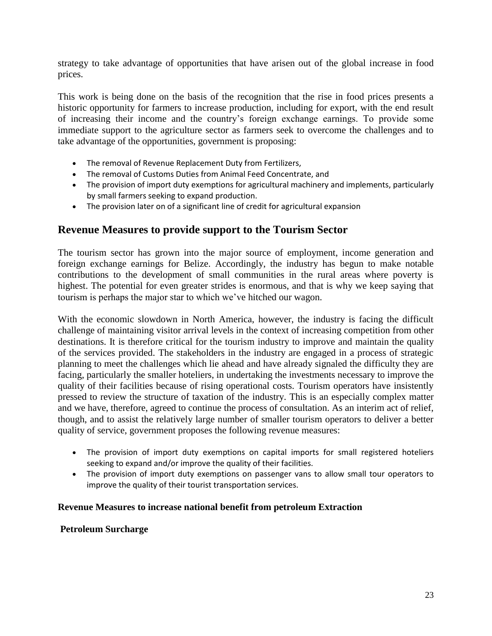strategy to take advantage of opportunities that have arisen out of the global increase in food prices.

This work is being done on the basis of the recognition that the rise in food prices presents a historic opportunity for farmers to increase production, including for export, with the end result of increasing their income and the country's foreign exchange earnings. To provide some immediate support to the agriculture sector as farmers seek to overcome the challenges and to take advantage of the opportunities, government is proposing:

- The removal of Revenue Replacement Duty from Fertilizers,
- The removal of Customs Duties from Animal Feed Concentrate, and
- The provision of import duty exemptions for agricultural machinery and implements, particularly by small farmers seeking to expand production.
- The provision later on of a significant line of credit for agricultural expansion

## **Revenue Measures to provide support to the Tourism Sector**

The tourism sector has grown into the major source of employment, income generation and foreign exchange earnings for Belize. Accordingly, the industry has begun to make notable contributions to the development of small communities in the rural areas where poverty is highest. The potential for even greater strides is enormous, and that is why we keep saying that tourism is perhaps the major star to which we've hitched our wagon.

With the economic slowdown in North America, however, the industry is facing the difficult challenge of maintaining visitor arrival levels in the context of increasing competition from other destinations. It is therefore critical for the tourism industry to improve and maintain the quality of the services provided. The stakeholders in the industry are engaged in a process of strategic planning to meet the challenges which lie ahead and have already signaled the difficulty they are facing, particularly the smaller hoteliers, in undertaking the investments necessary to improve the quality of their facilities because of rising operational costs. Tourism operators have insistently pressed to review the structure of taxation of the industry. This is an especially complex matter and we have, therefore, agreed to continue the process of consultation. As an interim act of relief, though, and to assist the relatively large number of smaller tourism operators to deliver a better quality of service, government proposes the following revenue measures:

- The provision of import duty exemptions on capital imports for small registered hoteliers seeking to expand and/or improve the quality of their facilities.
- The provision of import duty exemptions on passenger vans to allow small tour operators to improve the quality of their tourist transportation services.

#### **Revenue Measures to increase national benefit from petroleum Extraction**

#### **Petroleum Surcharge**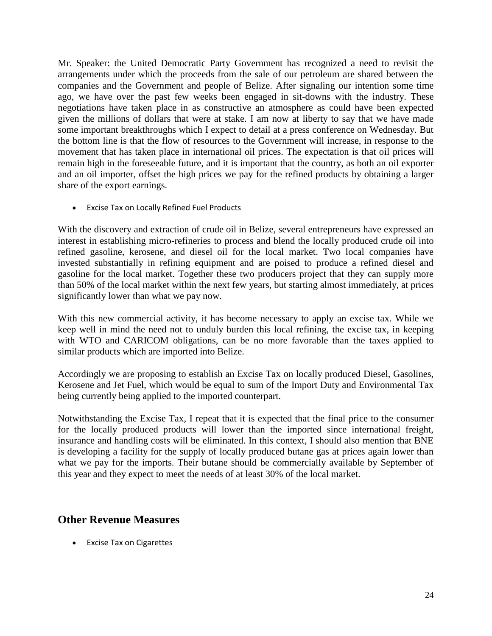Mr. Speaker: the United Democratic Party Government has recognized a need to revisit the arrangements under which the proceeds from the sale of our petroleum are shared between the companies and the Government and people of Belize. After signaling our intention some time ago, we have over the past few weeks been engaged in sit-downs with the industry. These negotiations have taken place in as constructive an atmosphere as could have been expected given the millions of dollars that were at stake. I am now at liberty to say that we have made some important breakthroughs which I expect to detail at a press conference on Wednesday. But the bottom line is that the flow of resources to the Government will increase, in response to the movement that has taken place in international oil prices. The expectation is that oil prices will remain high in the foreseeable future, and it is important that the country, as both an oil exporter and an oil importer, offset the high prices we pay for the refined products by obtaining a larger share of the export earnings.

Excise Tax on Locally Refined Fuel Products

With the discovery and extraction of crude oil in Belize, several entrepreneurs have expressed an interest in establishing micro-refineries to process and blend the locally produced crude oil into refined gasoline, kerosene, and diesel oil for the local market. Two local companies have invested substantially in refining equipment and are poised to produce a refined diesel and gasoline for the local market. Together these two producers project that they can supply more than 50% of the local market within the next few years, but starting almost immediately, at prices significantly lower than what we pay now.

With this new commercial activity, it has become necessary to apply an excise tax. While we keep well in mind the need not to unduly burden this local refining, the excise tax, in keeping with WTO and CARICOM obligations, can be no more favorable than the taxes applied to similar products which are imported into Belize.

Accordingly we are proposing to establish an Excise Tax on locally produced Diesel, Gasolines, Kerosene and Jet Fuel, which would be equal to sum of the Import Duty and Environmental Tax being currently being applied to the imported counterpart.

Notwithstanding the Excise Tax, I repeat that it is expected that the final price to the consumer for the locally produced products will lower than the imported since international freight, insurance and handling costs will be eliminated. In this context, I should also mention that BNE is developing a facility for the supply of locally produced butane gas at prices again lower than what we pay for the imports. Their butane should be commercially available by September of this year and they expect to meet the needs of at least 30% of the local market.

## **Other Revenue Measures**

**•** Excise Tax on Cigarettes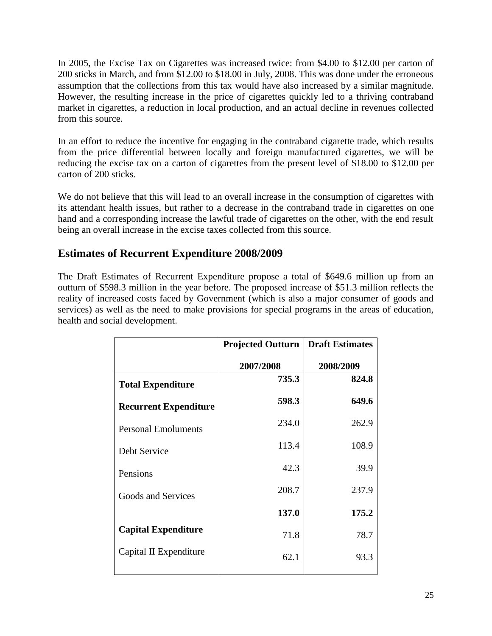In 2005, the Excise Tax on Cigarettes was increased twice: from \$4.00 to \$12.00 per carton of 200 sticks in March, and from \$12.00 to \$18.00 in July, 2008. This was done under the erroneous assumption that the collections from this tax would have also increased by a similar magnitude. However, the resulting increase in the price of cigarettes quickly led to a thriving contraband market in cigarettes, a reduction in local production, and an actual decline in revenues collected from this source.

In an effort to reduce the incentive for engaging in the contraband cigarette trade, which results from the price differential between locally and foreign manufactured cigarettes, we will be reducing the excise tax on a carton of cigarettes from the present level of \$18.00 to \$12.00 per carton of 200 sticks.

We do not believe that this will lead to an overall increase in the consumption of cigarettes with its attendant health issues, but rather to a decrease in the contraband trade in cigarettes on one hand and a corresponding increase the lawful trade of cigarettes on the other, with the end result being an overall increase in the excise taxes collected from this source.

## **Estimates of Recurrent Expenditure 2008/2009**

The Draft Estimates of Recurrent Expenditure propose a total of \$649.6 million up from an outturn of \$598.3 million in the year before. The proposed increase of \$51.3 million reflects the reality of increased costs faced by Government (which is also a major consumer of goods and services) as well as the need to make provisions for special programs in the areas of education, health and social development.

|                              | <b>Projected Outturn</b> | Draft Estimates |  |  |
|------------------------------|--------------------------|-----------------|--|--|
|                              | 2007/2008                | 2008/2009       |  |  |
| <b>Total Expenditure</b>     | 735.3                    | 824.8           |  |  |
| <b>Recurrent Expenditure</b> | 598.3                    | 649.6           |  |  |
| <b>Personal Emoluments</b>   | 234.0                    | 262.9           |  |  |
| Debt Service                 | 113.4                    | 108.9           |  |  |
| Pensions                     | 42.3                     | 39.9            |  |  |
| Goods and Services           | 208.7                    | 237.9           |  |  |
|                              | 137.0                    | 175.2           |  |  |
| <b>Capital Expenditure</b>   | 71.8                     | 78.7            |  |  |
| Capital II Expenditure       | 62.1                     | 93.3            |  |  |
|                              |                          |                 |  |  |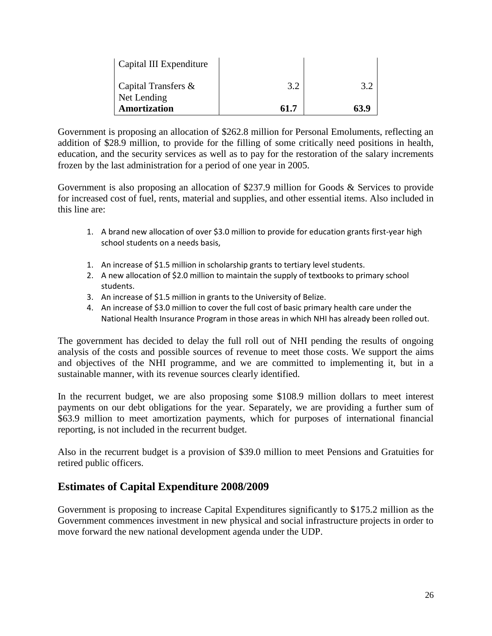| Capital III Expenditure     |      |      |
|-----------------------------|------|------|
| $\vert$ Capital Transfers & | 3.2  | 3.2  |
| Net Lending<br>Amortization | 61.7 | 63.9 |

Government is proposing an allocation of \$262.8 million for Personal Emoluments, reflecting an addition of \$28.9 million, to provide for the filling of some critically need positions in health, education, and the security services as well as to pay for the restoration of the salary increments frozen by the last administration for a period of one year in 2005.

Government is also proposing an allocation of \$237.9 million for Goods & Services to provide for increased cost of fuel, rents, material and supplies, and other essential items. Also included in this line are:

- 1. A brand new allocation of over \$3.0 million to provide for education grants first-year high school students on a needs basis,
- 1. An increase of \$1.5 million in scholarship grants to tertiary level students.
- 2. A new allocation of \$2.0 million to maintain the supply of textbooks to primary school students.
- 3. An increase of \$1.5 million in grants to the University of Belize.
- 4. An increase of \$3.0 million to cover the full cost of basic primary health care under the National Health Insurance Program in those areas in which NHI has already been rolled out.

The government has decided to delay the full roll out of NHI pending the results of ongoing analysis of the costs and possible sources of revenue to meet those costs. We support the aims and objectives of the NHI programme, and we are committed to implementing it, but in a sustainable manner, with its revenue sources clearly identified.

In the recurrent budget, we are also proposing some \$108.9 million dollars to meet interest payments on our debt obligations for the year. Separately, we are providing a further sum of \$63.9 million to meet amortization payments, which for purposes of international financial reporting, is not included in the recurrent budget.

Also in the recurrent budget is a provision of \$39.0 million to meet Pensions and Gratuities for retired public officers.

## **Estimates of Capital Expenditure 2008/2009**

Government is proposing to increase Capital Expenditures significantly to \$175.2 million as the Government commences investment in new physical and social infrastructure projects in order to move forward the new national development agenda under the UDP.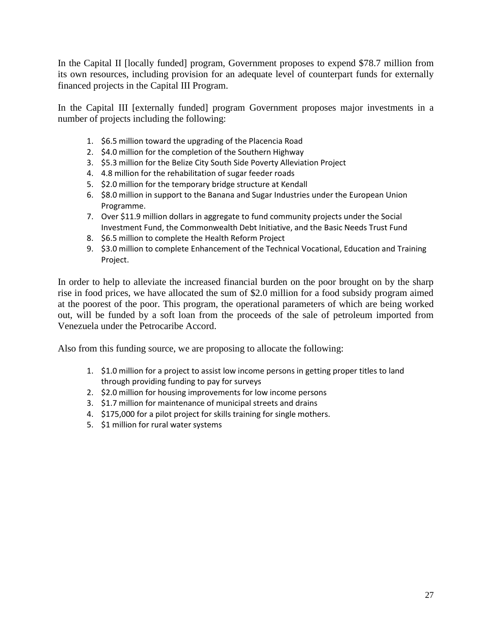In the Capital II [locally funded] program, Government proposes to expend \$78.7 million from its own resources, including provision for an adequate level of counterpart funds for externally financed projects in the Capital III Program.

In the Capital III [externally funded] program Government proposes major investments in a number of projects including the following:

- 1. \$6.5 million toward the upgrading of the Placencia Road
- 2. \$4.0 million for the completion of the Southern Highway
- 3. \$5.3 million for the Belize City South Side Poverty Alleviation Project
- 4. 4.8 million for the rehabilitation of sugar feeder roads
- 5. \$2.0 million for the temporary bridge structure at Kendall
- 6. \$8.0 million in support to the Banana and Sugar Industries under the European Union Programme.
- 7. Over \$11.9 million dollars in aggregate to fund community projects under the Social Investment Fund, the Commonwealth Debt Initiative, and the Basic Needs Trust Fund
- 8. \$6.5 million to complete the Health Reform Project
- 9. \$3.0 million to complete Enhancement of the Technical Vocational, Education and Training Project.

In order to help to alleviate the increased financial burden on the poor brought on by the sharp rise in food prices, we have allocated the sum of \$2.0 million for a food subsidy program aimed at the poorest of the poor. This program, the operational parameters of which are being worked out, will be funded by a soft loan from the proceeds of the sale of petroleum imported from Venezuela under the Petrocaribe Accord.

Also from this funding source, we are proposing to allocate the following:

- 1. \$1.0 million for a project to assist low income persons in getting proper titles to land through providing funding to pay for surveys
- 2. \$2.0 million for housing improvements for low income persons
- 3. \$1.7 million for maintenance of municipal streets and drains
- 4. \$175,000 for a pilot project for skills training for single mothers.
- 5. \$1 million for rural water systems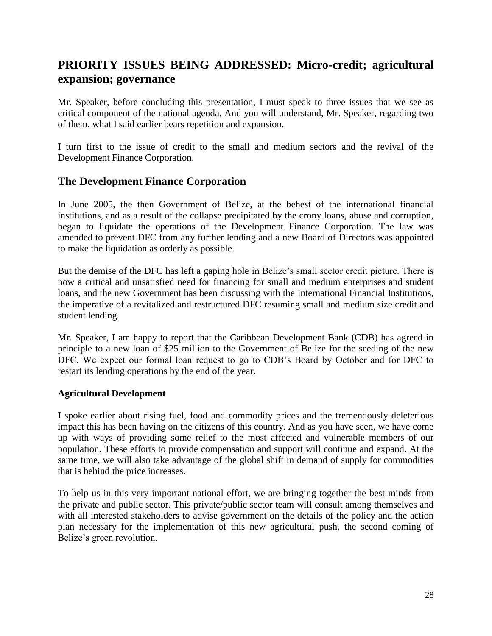# **PRIORITY ISSUES BEING ADDRESSED: Micro-credit; agricultural expansion; governance**

Mr. Speaker, before concluding this presentation, I must speak to three issues that we see as critical component of the national agenda. And you will understand, Mr. Speaker, regarding two of them, what I said earlier bears repetition and expansion.

I turn first to the issue of credit to the small and medium sectors and the revival of the Development Finance Corporation.

## **The Development Finance Corporation**

In June 2005, the then Government of Belize, at the behest of the international financial institutions, and as a result of the collapse precipitated by the crony loans, abuse and corruption, began to liquidate the operations of the Development Finance Corporation. The law was amended to prevent DFC from any further lending and a new Board of Directors was appointed to make the liquidation as orderly as possible.

But the demise of the DFC has left a gaping hole in Belize's small sector credit picture. There is now a critical and unsatisfied need for financing for small and medium enterprises and student loans, and the new Government has been discussing with the International Financial Institutions, the imperative of a revitalized and restructured DFC resuming small and medium size credit and student lending.

Mr. Speaker, I am happy to report that the Caribbean Development Bank (CDB) has agreed in principle to a new loan of \$25 million to the Government of Belize for the seeding of the new DFC. We expect our formal loan request to go to CDB's Board by October and for DFC to restart its lending operations by the end of the year.

### **Agricultural Development**

I spoke earlier about rising fuel, food and commodity prices and the tremendously deleterious impact this has been having on the citizens of this country. And as you have seen, we have come up with ways of providing some relief to the most affected and vulnerable members of our population. These efforts to provide compensation and support will continue and expand. At the same time, we will also take advantage of the global shift in demand of supply for commodities that is behind the price increases.

To help us in this very important national effort, we are bringing together the best minds from the private and public sector. This private/public sector team will consult among themselves and with all interested stakeholders to advise government on the details of the policy and the action plan necessary for the implementation of this new agricultural push, the second coming of Belize's green revolution.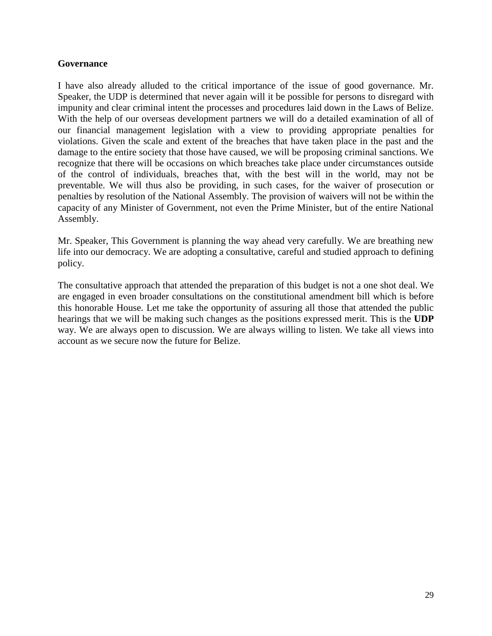#### **Governance**

I have also already alluded to the critical importance of the issue of good governance. Mr. Speaker, the UDP is determined that never again will it be possible for persons to disregard with impunity and clear criminal intent the processes and procedures laid down in the Laws of Belize. With the help of our overseas development partners we will do a detailed examination of all of our financial management legislation with a view to providing appropriate penalties for violations. Given the scale and extent of the breaches that have taken place in the past and the damage to the entire society that those have caused, we will be proposing criminal sanctions. We recognize that there will be occasions on which breaches take place under circumstances outside of the control of individuals, breaches that, with the best will in the world, may not be preventable. We will thus also be providing, in such cases, for the waiver of prosecution or penalties by resolution of the National Assembly. The provision of waivers will not be within the capacity of any Minister of Government, not even the Prime Minister, but of the entire National Assembly.

Mr. Speaker, This Government is planning the way ahead very carefully. We are breathing new life into our democracy. We are adopting a consultative, careful and studied approach to defining policy.

The consultative approach that attended the preparation of this budget is not a one shot deal. We are engaged in even broader consultations on the constitutional amendment bill which is before this honorable House. Let me take the opportunity of assuring all those that attended the public hearings that we will be making such changes as the positions expressed merit. This is the **UDP** way. We are always open to discussion. We are always willing to listen. We take all views into account as we secure now the future for Belize.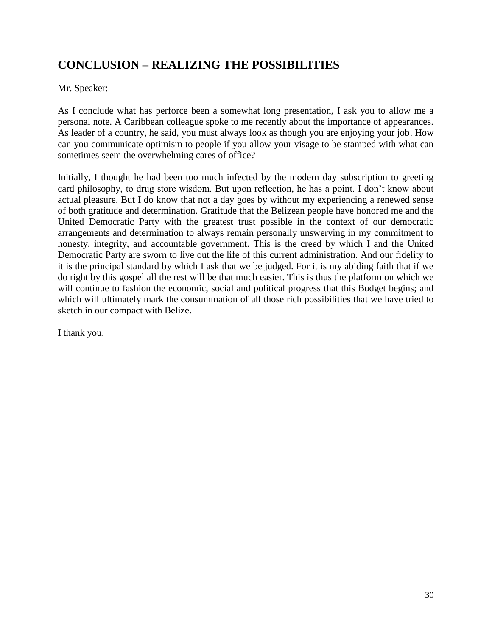# **CONCLUSION – REALIZING THE POSSIBILITIES**

Mr. Speaker:

As I conclude what has perforce been a somewhat long presentation, I ask you to allow me a personal note. A Caribbean colleague spoke to me recently about the importance of appearances. As leader of a country, he said, you must always look as though you are enjoying your job. How can you communicate optimism to people if you allow your visage to be stamped with what can sometimes seem the overwhelming cares of office?

Initially, I thought he had been too much infected by the modern day subscription to greeting card philosophy, to drug store wisdom. But upon reflection, he has a point. I don't know about actual pleasure. But I do know that not a day goes by without my experiencing a renewed sense of both gratitude and determination. Gratitude that the Belizean people have honored me and the United Democratic Party with the greatest trust possible in the context of our democratic arrangements and determination to always remain personally unswerving in my commitment to honesty, integrity, and accountable government. This is the creed by which I and the United Democratic Party are sworn to live out the life of this current administration. And our fidelity to it is the principal standard by which I ask that we be judged. For it is my abiding faith that if we do right by this gospel all the rest will be that much easier. This is thus the platform on which we will continue to fashion the economic, social and political progress that this Budget begins; and which will ultimately mark the consummation of all those rich possibilities that we have tried to sketch in our compact with Belize.

I thank you.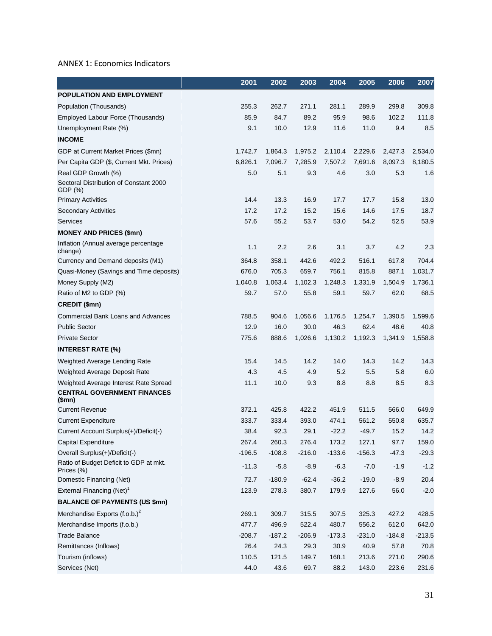#### ANNEX 1: Economics Indicators

|                                                      | 2001     | 2002     | 2003     | 2004     | 2005     | 2006     | 2007     |
|------------------------------------------------------|----------|----------|----------|----------|----------|----------|----------|
| POPULATION AND EMPLOYMENT                            |          |          |          |          |          |          |          |
| Population (Thousands)                               | 255.3    | 262.7    | 271.1    | 281.1    | 289.9    | 299.8    | 309.8    |
| Employed Labour Force (Thousands)                    | 85.9     | 84.7     | 89.2     | 95.9     | 98.6     | 102.2    | 111.8    |
| Unemployment Rate (%)                                | 9.1      | 10.0     | 12.9     | 11.6     | 11.0     | 9.4      | 8.5      |
| <b>INCOME</b>                                        |          |          |          |          |          |          |          |
| GDP at Current Market Prices (\$mn)                  | 1,742.7  | 1,864.3  | 1,975.2  | 2,110.4  | 2,229.6  | 2,427.3  | 2,534.0  |
| Per Capita GDP (\$, Current Mkt. Prices)             | 6,826.1  | 7,096.7  | 7,285.9  | 7,507.2  | 7,691.6  | 8,097.3  | 8,180.5  |
| Real GDP Growth (%)                                  | 5.0      | 5.1      | 9.3      | 4.6      | 3.0      | 5.3      | 1.6      |
| Sectoral Distribution of Constant 2000<br>GDP (%)    |          |          |          |          |          |          |          |
| <b>Primary Activities</b>                            | 14.4     | 13.3     | 16.9     | 17.7     | 17.7     | 15.8     | 13.0     |
| <b>Secondary Activities</b>                          | 17.2     | 17.2     | 15.2     | 15.6     | 14.6     | 17.5     | 18.7     |
| <b>Services</b>                                      | 57.6     | 55.2     | 53.7     | 53.0     | 54.2     | 52.5     | 53.9     |
| <b>MONEY AND PRICES (\$mn)</b>                       |          |          |          |          |          |          |          |
| Inflation (Annual average percentage<br>change)      | 1.1      | 2.2      | 2.6      | 3.1      | 3.7      | 4.2      | 2.3      |
| Currency and Demand deposits (M1)                    | 364.8    | 358.1    | 442.6    | 492.2    | 516.1    | 617.8    | 704.4    |
| Quasi-Money (Savings and Time deposits)              | 676.0    | 705.3    | 659.7    | 756.1    | 815.8    | 887.1    | 1,031.7  |
| Money Supply (M2)                                    | 1,040.8  | 1,063.4  | 1,102.3  | 1,248.3  | 1,331.9  | 1,504.9  | 1,736.1  |
| Ratio of M2 to GDP (%)                               | 59.7     | 57.0     | 55.8     | 59.1     | 59.7     | 62.0     | 68.5     |
| CREDIT (\$mn)                                        |          |          |          |          |          |          |          |
| <b>Commercial Bank Loans and Advances</b>            | 788.5    | 904.6    | 1,056.6  | 1,176.5  | 1,254.7  | 1,390.5  | 1,599.6  |
| <b>Public Sector</b>                                 | 12.9     | 16.0     | 30.0     | 46.3     | 62.4     | 48.6     | 40.8     |
| <b>Private Sector</b>                                | 775.6    | 888.6    | 1,026.6  | 1,130.2  | 1,192.3  | 1,341.9  | 1,558.8  |
| <b>INTEREST RATE (%)</b>                             |          |          |          |          |          |          |          |
| Weighted Average Lending Rate                        | 15.4     | 14.5     | 14.2     | 14.0     | 14.3     | 14.2     | 14.3     |
| Weighted Average Deposit Rate                        | 4.3      | 4.5      | 4.9      | 5.2      | 5.5      | 5.8      | 6.0      |
| Weighted Average Interest Rate Spread                | 11.1     | 10.0     | 9.3      | 8.8      | 8.8      | 8.5      | 8.3      |
| <b>CENTRAL GOVERNMENT FINANCES</b><br>\$mn)          |          |          |          |          |          |          |          |
| <b>Current Revenue</b>                               | 372.1    | 425.8    | 422.2    | 451.9    | 511.5    | 566.0    | 649.9    |
| <b>Current Expenditure</b>                           | 333.7    | 333.4    | 393.0    | 474.1    | 561.2    | 550.8    | 635.7    |
| Current Account Surplus(+)/Deficit(-)                | 38.4     | 92.3     | 29.1     | $-22.2$  | $-49.7$  | 15.2     | 14.2     |
| Capital Expenditure                                  | 267.4    | 260.3    | 276.4    | 173.2    | 127.1    | 97.7     | 159.0    |
| Overall Surplus(+)/Deficit(-)                        | $-196.5$ | $-108.8$ | $-216.0$ | $-133.6$ | $-156.3$ | $-47.3$  | $-29.3$  |
| Ratio of Budget Deficit to GDP at mkt.<br>Prices (%) | $-11.3$  | $-5.8$   | $-8.9$   | $-6.3$   | $-7.0$   | $-1.9$   | $-1.2$   |
| Domestic Financing (Net)                             | 72.7     | $-180.9$ | $-62.4$  | $-36.2$  | $-19.0$  | $-8.9$   | 20.4     |
| External Financing (Net) <sup>1</sup>                | 123.9    | 278.3    | 380.7    | 179.9    | 127.6    | 56.0     | $-2.0$   |
| <b>BALANCE OF PAYMENTS (US \$mn)</b>                 |          |          |          |          |          |          |          |
| Merchandise Exports $(f.o.b.)^2$                     | 269.1    | 309.7    | 315.5    | 307.5    | 325.3    | 427.2    | 428.5    |
| Merchandise Imports (f.o.b.)                         | 477.7    | 496.9    | 522.4    | 480.7    | 556.2    | 612.0    | 642.0    |
| <b>Trade Balance</b>                                 | $-208.7$ | $-187.2$ | $-206.9$ | $-173.3$ | $-231.0$ | $-184.8$ | $-213.5$ |
| Remittances (Inflows)                                | 26.4     | 24.3     | 29.3     | 30.9     | 40.9     | 57.8     | 70.8     |
| Tourism (inflows)                                    | 110.5    | 121.5    | 149.7    | 168.1    | 213.6    | 271.0    | 290.6    |
| Services (Net)                                       | 44.0     | 43.6     | 69.7     | 88.2     | 143.0    | 223.6    | 231.6    |